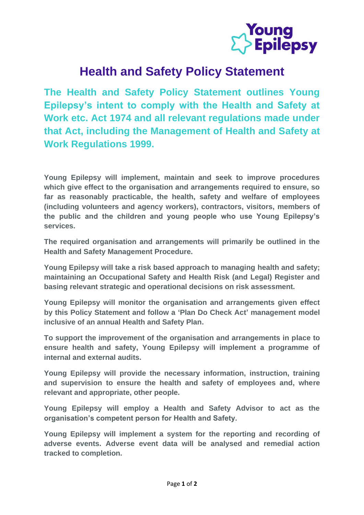

## **Health and Safety Policy Statement**

**The Health and Safety Policy Statement outlines Young Epilepsy's intent to comply with the Health and Safety at Work etc. Act 1974 and all relevant regulations made under that Act, including the Management of Health and Safety at Work Regulations 1999.**

**Young Epilepsy will implement, maintain and seek to improve procedures which give effect to the organisation and arrangements required to ensure, so far as reasonably practicable, the health, safety and welfare of employees (including volunteers and agency workers), contractors, visitors, members of the public and the children and young people who use Young Epilepsy's services.** 

**The required organisation and arrangements will primarily be outlined in the Health and Safety Management Procedure.**

**Young Epilepsy will take a risk based approach to managing health and safety; maintaining an Occupational Safety and Health Risk (and Legal) Register and basing relevant strategic and operational decisions on risk assessment.** 

**Young Epilepsy will monitor the organisation and arrangements given effect by this Policy Statement and follow a 'Plan Do Check Act' management model inclusive of an annual Health and Safety Plan.**

**To support the improvement of the organisation and arrangements in place to ensure health and safety, Young Epilepsy will implement a programme of internal and external audits.** 

**Young Epilepsy will provide the necessary information, instruction, training and supervision to ensure the health and safety of employees and, where relevant and appropriate, other people.** 

**Young Epilepsy will employ a Health and Safety Advisor to act as the organisation's competent person for Health and Safety.**

**Young Epilepsy will implement a system for the reporting and recording of adverse events. Adverse event data will be analysed and remedial action tracked to completion.**